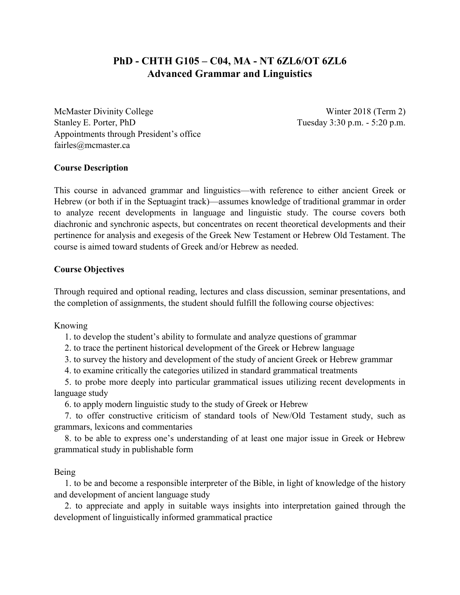# **PhD - CHTH G105 – C04, MA - NT 6ZL6/OT 6ZL6 Advanced Grammar and Linguistics**

McMaster Divinity College Winter 2018 (Term 2) Stanley E. Porter, PhD Tuesday 3:30 p.m. - 5:20 p.m. Appointments through President's office fairles@mcmaster.ca

# **Course Description**

This course in advanced grammar and linguistics—with reference to either ancient Greek or Hebrew (or both if in the Septuagint track)—assumes knowledge of traditional grammar in order to analyze recent developments in language and linguistic study. The course covers both diachronic and synchronic aspects, but concentrates on recent theoretical developments and their pertinence for analysis and exegesis of the Greek New Testament or Hebrew Old Testament. The course is aimed toward students of Greek and/or Hebrew as needed.

# **Course Objectives**

Through required and optional reading, lectures and class discussion, seminar presentations, and the completion of assignments, the student should fulfill the following course objectives:

Knowing

1. to develop the student's ability to formulate and analyze questions of grammar

2. to trace the pertinent historical development of the Greek or Hebrew language

3. to survey the history and development of the study of ancient Greek or Hebrew grammar

4. to examine critically the categories utilized in standard grammatical treatments

5. to probe more deeply into particular grammatical issues utilizing recent developments in language study

6. to apply modern linguistic study to the study of Greek or Hebrew

7. to offer constructive criticism of standard tools of New/Old Testament study, such as grammars, lexicons and commentaries

8. to be able to express one's understanding of at least one major issue in Greek or Hebrew grammatical study in publishable form

# Being

1. to be and become a responsible interpreter of the Bible, in light of knowledge of the history and development of ancient language study

2. to appreciate and apply in suitable ways insights into interpretation gained through the development of linguistically informed grammatical practice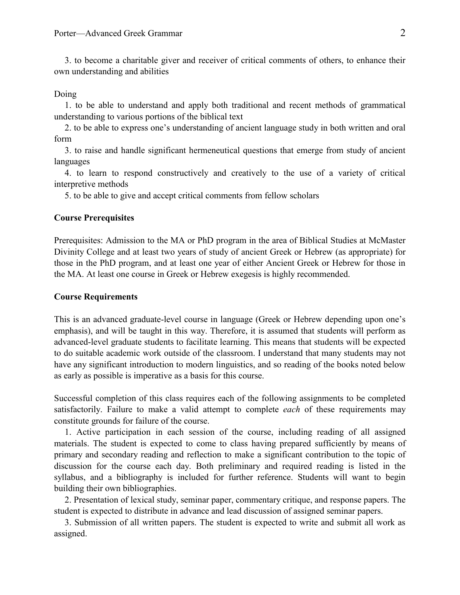3. to become a charitable giver and receiver of critical comments of others, to enhance their own understanding and abilities

#### Doing

1. to be able to understand and apply both traditional and recent methods of grammatical understanding to various portions of the biblical text

2. to be able to express one's understanding of ancient language study in both written and oral form

3. to raise and handle significant hermeneutical questions that emerge from study of ancient languages

4. to learn to respond constructively and creatively to the use of a variety of critical interpretive methods

5. to be able to give and accept critical comments from fellow scholars

#### **Course Prerequisites**

Prerequisites: Admission to the MA or PhD program in the area of Biblical Studies at McMaster Divinity College and at least two years of study of ancient Greek or Hebrew (as appropriate) for those in the PhD program, and at least one year of either Ancient Greek or Hebrew for those in the MA. At least one course in Greek or Hebrew exegesis is highly recommended.

# **Course Requirements**

This is an advanced graduate-level course in language (Greek or Hebrew depending upon one's emphasis), and will be taught in this way. Therefore, it is assumed that students will perform as advanced-level graduate students to facilitate learning. This means that students will be expected to do suitable academic work outside of the classroom. I understand that many students may not have any significant introduction to modern linguistics, and so reading of the books noted below as early as possible is imperative as a basis for this course.

Successful completion of this class requires each of the following assignments to be completed satisfactorily. Failure to make a valid attempt to complete *each* of these requirements may constitute grounds for failure of the course.

1. Active participation in each session of the course, including reading of all assigned materials. The student is expected to come to class having prepared sufficiently by means of primary and secondary reading and reflection to make a significant contribution to the topic of discussion for the course each day. Both preliminary and required reading is listed in the syllabus, and a bibliography is included for further reference. Students will want to begin building their own bibliographies.

2. Presentation of lexical study, seminar paper, commentary critique, and response papers. The student is expected to distribute in advance and lead discussion of assigned seminar papers.

3. Submission of all written papers. The student is expected to write and submit all work as assigned.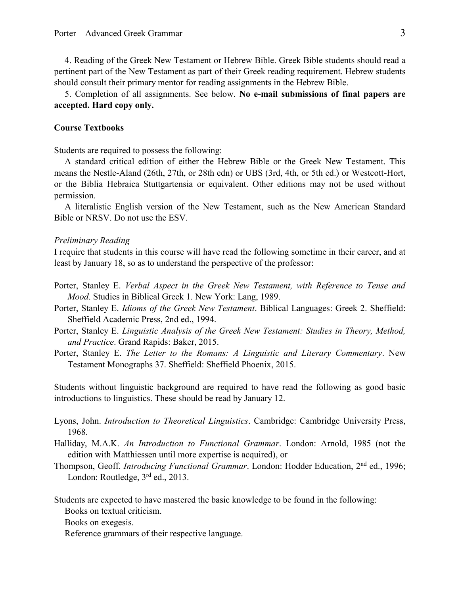4. Reading of the Greek New Testament or Hebrew Bible. Greek Bible students should read a pertinent part of the New Testament as part of their Greek reading requirement. Hebrew students should consult their primary mentor for reading assignments in the Hebrew Bible.

5. Completion of all assignments. See below. **No e-mail submissions of final papers are accepted. Hard copy only.**

# **Course Textbooks**

Students are required to possess the following:

A standard critical edition of either the Hebrew Bible or the Greek New Testament. This means the Nestle-Aland (26th, 27th, or 28th edn) or UBS (3rd, 4th, or 5th ed.) or Westcott-Hort, or the Biblia Hebraica Stuttgartensia or equivalent. Other editions may not be used without permission.

A literalistic English version of the New Testament, such as the New American Standard Bible or NRSV. Do not use the ESV.

## *Preliminary Reading*

I require that students in this course will have read the following sometime in their career, and at least by January 18, so as to understand the perspective of the professor:

- Porter, Stanley E. *Verbal Aspect in the Greek New Testament, with Reference to Tense and Mood*. Studies in Biblical Greek 1. New York: Lang, 1989.
- Porter, Stanley E. *Idioms of the Greek New Testament*. Biblical Languages: Greek 2. Sheffield: Sheffield Academic Press, 2nd ed., 1994.
- Porter, Stanley E. *Linguistic Analysis of the Greek New Testament: Studies in Theory, Method, and Practice*. Grand Rapids: Baker, 2015.
- Porter, Stanley E. *The Letter to the Romans: A Linguistic and Literary Commentary*. New Testament Monographs 37. Sheffield: Sheffield Phoenix, 2015.

Students without linguistic background are required to have read the following as good basic introductions to linguistics. These should be read by January 12.

- Lyons, John. *Introduction to Theoretical Linguistics*. Cambridge: Cambridge University Press, 1968.
- Halliday, M.A.K. *An Introduction to Functional Grammar*. London: Arnold, 1985 (not the edition with Matthiessen until more expertise is acquired), or
- Thompson, Geoff. *Introducing Functional Grammar*. London: Hodder Education, 2<sup>nd</sup> ed., 1996; London: Routledge, 3<sup>rd</sup> ed., 2013.

Students are expected to have mastered the basic knowledge to be found in the following:

Books on textual criticism.

Books on exegesis.

Reference grammars of their respective language.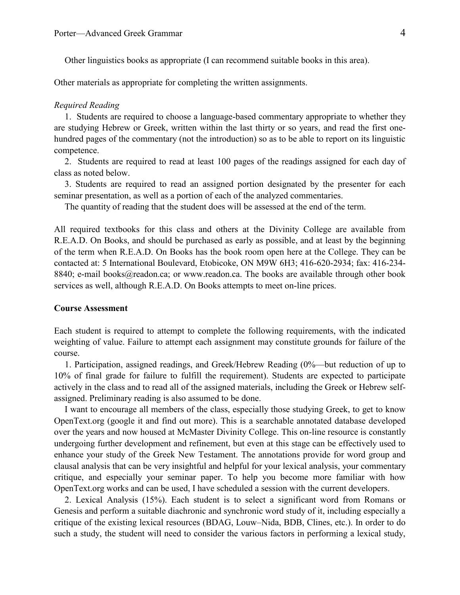Other linguistics books as appropriate (I can recommend suitable books in this area).

Other materials as appropriate for completing the written assignments.

### *Required Reading*

1. Students are required to choose a language-based commentary appropriate to whether they are studying Hebrew or Greek, written within the last thirty or so years, and read the first onehundred pages of the commentary (not the introduction) so as to be able to report on its linguistic competence.

2. Students are required to read at least 100 pages of the readings assigned for each day of class as noted below.

3. Students are required to read an assigned portion designated by the presenter for each seminar presentation, as well as a portion of each of the analyzed commentaries.

The quantity of reading that the student does will be assessed at the end of the term.

All required textbooks for this class and others at the Divinity College are available from R.E.A.D. On Books, and should be purchased as early as possible, and at least by the beginning of the term when R.E.A.D. On Books has the book room open here at the College. They can be contacted at: 5 International Boulevard, Etobicoke, ON M9W 6H3; 416-620-2934; fax: 416-234- 8840; e-mail books@readon.ca; or www.readon.ca. The books are available through other book services as well, although R.E.A.D. On Books attempts to meet on-line prices.

# **Course Assessment**

Each student is required to attempt to complete the following requirements, with the indicated weighting of value. Failure to attempt each assignment may constitute grounds for failure of the course.

1. Participation, assigned readings, and Greek/Hebrew Reading (0%—but reduction of up to 10% of final grade for failure to fulfill the requirement). Students are expected to participate actively in the class and to read all of the assigned materials, including the Greek or Hebrew selfassigned. Preliminary reading is also assumed to be done.

I want to encourage all members of the class, especially those studying Greek, to get to know OpenText.org (google it and find out more). This is a searchable annotated database developed over the years and now housed at McMaster Divinity College. This on-line resource is constantly undergoing further development and refinement, but even at this stage can be effectively used to enhance your study of the Greek New Testament. The annotations provide for word group and clausal analysis that can be very insightful and helpful for your lexical analysis, your commentary critique, and especially your seminar paper. To help you become more familiar with how OpenText.org works and can be used, I have scheduled a session with the current developers.

2. Lexical Analysis (15%). Each student is to select a significant word from Romans or Genesis and perform a suitable diachronic and synchronic word study of it, including especially a critique of the existing lexical resources (BDAG, Louw–Nida, BDB, Clines, etc.). In order to do such a study, the student will need to consider the various factors in performing a lexical study,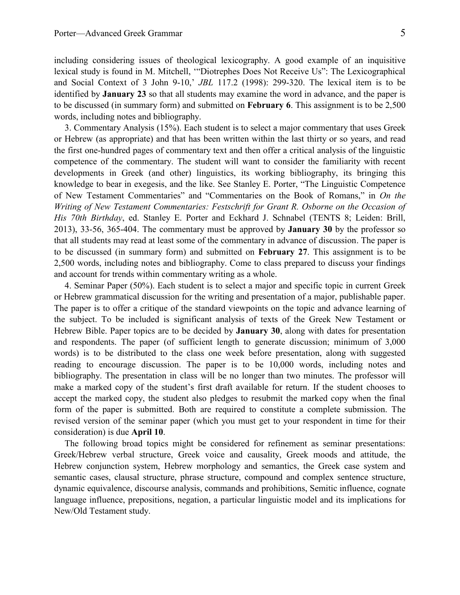including considering issues of theological lexicography. A good example of an inquisitive lexical study is found in M. Mitchell, '"Diotrephes Does Not Receive Us": The Lexicographical and Social Context of 3 John 9-10,' *JBL* 117.2 (1998): 299-320. The lexical item is to be identified by **January 23** so that all students may examine the word in advance, and the paper is to be discussed (in summary form) and submitted on **February 6**. This assignment is to be 2,500 words, including notes and bibliography.

3. Commentary Analysis (15%). Each student is to select a major commentary that uses Greek or Hebrew (as appropriate) and that has been written within the last thirty or so years, and read the first one-hundred pages of commentary text and then offer a critical analysis of the linguistic competence of the commentary. The student will want to consider the familiarity with recent developments in Greek (and other) linguistics, its working bibliography, its bringing this knowledge to bear in exegesis, and the like. See Stanley E. Porter, "The Linguistic Competence of New Testament Commentaries" and "Commentaries on the Book of Romans," in *On the Writing of New Testament Commentaries: Festschrift for Grant R. Osborne on the Occasion of His 70th Birthday*, ed. Stanley E. Porter and Eckhard J. Schnabel (TENTS 8; Leiden: Brill, 2013), 33-56, 365-404. The commentary must be approved by **January 30** by the professor so that all students may read at least some of the commentary in advance of discussion. The paper is to be discussed (in summary form) and submitted on **February 27**. This assignment is to be 2,500 words, including notes and bibliography. Come to class prepared to discuss your findings and account for trends within commentary writing as a whole.

4. Seminar Paper (50%). Each student is to select a major and specific topic in current Greek or Hebrew grammatical discussion for the writing and presentation of a major, publishable paper. The paper is to offer a critique of the standard viewpoints on the topic and advance learning of the subject. To be included is significant analysis of texts of the Greek New Testament or Hebrew Bible. Paper topics are to be decided by **January 30**, along with dates for presentation and respondents. The paper (of sufficient length to generate discussion; minimum of 3,000 words) is to be distributed to the class one week before presentation, along with suggested reading to encourage discussion. The paper is to be 10,000 words, including notes and bibliography. The presentation in class will be no longer than two minutes. The professor will make a marked copy of the student's first draft available for return. If the student chooses to accept the marked copy, the student also pledges to resubmit the marked copy when the final form of the paper is submitted. Both are required to constitute a complete submission. The revised version of the seminar paper (which you must get to your respondent in time for their consideration) is due **April 10**.

The following broad topics might be considered for refinement as seminar presentations: Greek/Hebrew verbal structure, Greek voice and causality, Greek moods and attitude, the Hebrew conjunction system, Hebrew morphology and semantics, the Greek case system and semantic cases, clausal structure, phrase structure, compound and complex sentence structure, dynamic equivalence, discourse analysis, commands and prohibitions, Semitic influence, cognate language influence, prepositions, negation, a particular linguistic model and its implications for New/Old Testament study.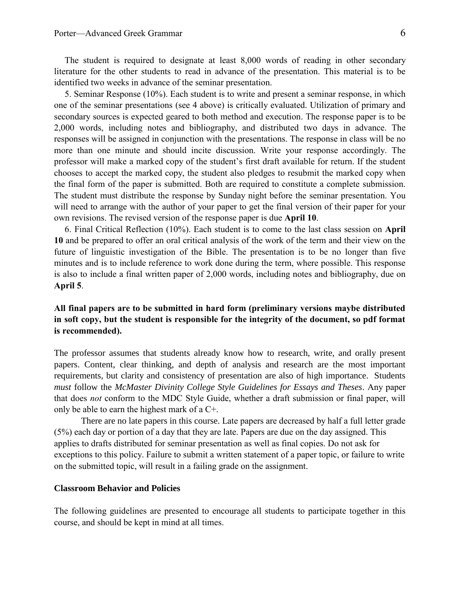The student is required to designate at least 8,000 words of reading in other secondary literature for the other students to read in advance of the presentation. This material is to be identified two weeks in advance of the seminar presentation.

5. Seminar Response (10%). Each student is to write and present a seminar response, in which one of the seminar presentations (see 4 above) is critically evaluated. Utilization of primary and secondary sources is expected geared to both method and execution. The response paper is to be 2,000 words, including notes and bibliography, and distributed two days in advance. The responses will be assigned in conjunction with the presentations. The response in class will be no more than one minute and should incite discussion. Write your response accordingly. The professor will make a marked copy of the student's first draft available for return. If the student chooses to accept the marked copy, the student also pledges to resubmit the marked copy when the final form of the paper is submitted. Both are required to constitute a complete submission. The student must distribute the response by Sunday night before the seminar presentation. You will need to arrange with the author of your paper to get the final version of their paper for your own revisions. The revised version of the response paper is due **April 10**.

6. Final Critical Reflection (10%). Each student is to come to the last class session on **April 10** and be prepared to offer an oral critical analysis of the work of the term and their view on the future of linguistic investigation of the Bible. The presentation is to be no longer than five minutes and is to include reference to work done during the term, where possible. This response is also to include a final written paper of 2,000 words, including notes and bibliography, due on **April 5**.

# **All final papers are to be submitted in hard form (preliminary versions maybe distributed in soft copy, but the student is responsible for the integrity of the document, so pdf format is recommended).**

The professor assumes that students already know how to research, write, and orally present papers. Content, clear thinking, and depth of analysis and research are the most important requirements, but clarity and consistency of presentation are also of high importance. Students *must* follow the *McMaster Divinity College Style Guidelines for Essays and Theses*. Any paper that does *not* conform to the MDC Style Guide, whether a draft submission or final paper, will only be able to earn the highest mark of a C+.

There are no late papers in this course. Late papers are decreased by half a full letter grade (5%) each day or portion of a day that they are late. Papers are due on the day assigned. This applies to drafts distributed for seminar presentation as well as final copies. Do not ask for exceptions to this policy. Failure to submit a written statement of a paper topic, or failure to write on the submitted topic, will result in a failing grade on the assignment.

### **Classroom Behavior and Policies**

The following guidelines are presented to encourage all students to participate together in this course, and should be kept in mind at all times.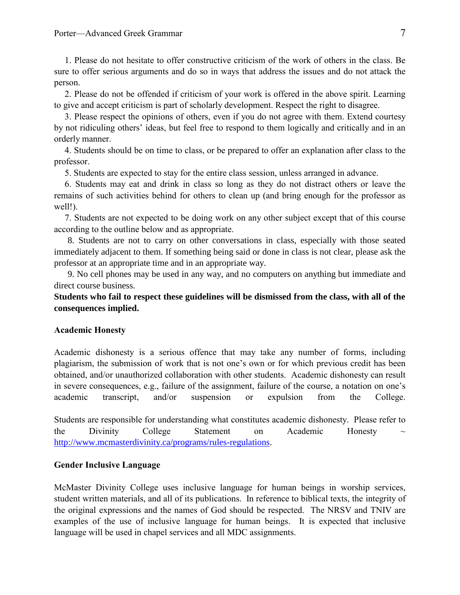1. Please do not hesitate to offer constructive criticism of the work of others in the class. Be sure to offer serious arguments and do so in ways that address the issues and do not attack the person.

2. Please do not be offended if criticism of your work is offered in the above spirit. Learning to give and accept criticism is part of scholarly development. Respect the right to disagree.

3. Please respect the opinions of others, even if you do not agree with them. Extend courtesy by not ridiculing others' ideas, but feel free to respond to them logically and critically and in an orderly manner.

4. Students should be on time to class, or be prepared to offer an explanation after class to the professor.

5. Students are expected to stay for the entire class session, unless arranged in advance.

6. Students may eat and drink in class so long as they do not distract others or leave the remains of such activities behind for others to clean up (and bring enough for the professor as well!).

7. Students are not expected to be doing work on any other subject except that of this course according to the outline below and as appropriate.

8. Students are not to carry on other conversations in class, especially with those seated immediately adjacent to them. If something being said or done in class is not clear, please ask the professor at an appropriate time and in an appropriate way.

9. No cell phones may be used in any way, and no computers on anything but immediate and direct course business.

# **Students who fail to respect these guidelines will be dismissed from the class, with all of the consequences implied.**

# **Academic Honesty**

Academic dishonesty is a serious offence that may take any number of forms, including plagiarism, the submission of work that is not one's own or for which previous credit has been obtained, and/or unauthorized collaboration with other students. Academic dishonesty can result in severe consequences, e.g., failure of the assignment, failure of the course, a notation on one's academic transcript, and/or suspension or expulsion from the College.

Students are responsible for understanding what constitutes academic dishonesty. Please refer to the Divinity College Statement on Academic Honesty  $\sim$ <http://www.mcmasterdivinity.ca/programs/rules-regulations>.

# **Gender Inclusive Language**

McMaster Divinity College uses inclusive language for human beings in worship services, student written materials, and all of its publications. In reference to biblical texts, the integrity of the original expressions and the names of God should be respected. The NRSV and TNIV are examples of the use of inclusive language for human beings. It is expected that inclusive language will be used in chapel services and all MDC assignments.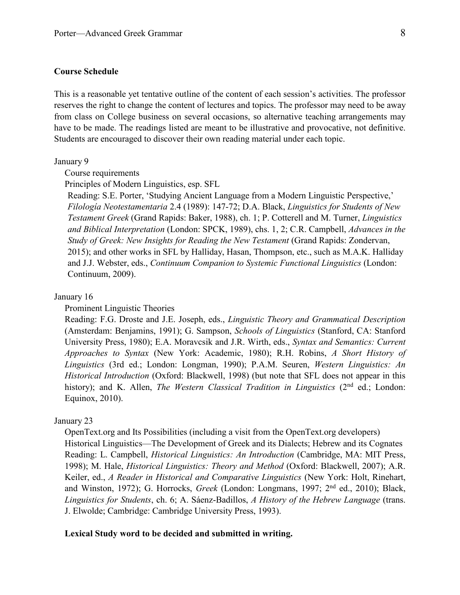# **Course Schedule**

This is a reasonable yet tentative outline of the content of each session's activities. The professor reserves the right to change the content of lectures and topics. The professor may need to be away from class on College business on several occasions, so alternative teaching arrangements may have to be made. The readings listed are meant to be illustrative and provocative, not definitive. Students are encouraged to discover their own reading material under each topic.

#### January 9

# Course requirements

Principles of Modern Linguistics, esp. SFL

Reading: S.E. Porter, 'Studying Ancient Language from a Modern Linguistic Perspective,' *Filología Neotestamentaria* 2.4 (1989): 147-72; D.A. Black, *Linguistics for Students of New Testament Greek* (Grand Rapids: Baker, 1988), ch. 1; P. Cotterell and M. Turner, *Linguistics and Biblical Interpretation* (London: SPCK, 1989), chs. 1, 2; C.R. Campbell, *Advances in the Study of Greek: New Insights for Reading the New Testament* (Grand Rapids: Zondervan, 2015); and other works in SFL by Halliday, Hasan, Thompson, etc., such as M.A.K. Halliday and J.J. Webster, eds., *Continuum Companion to Systemic Functional Linguistics* (London: Continuum, 2009).

# January 16

# Prominent Linguistic Theories

Reading: F.G. Droste and J.E. Joseph, eds., *Linguistic Theory and Grammatical Description* (Amsterdam: Benjamins, 1991); G. Sampson, *Schools of Linguistics* (Stanford, CA: Stanford University Press, 1980); E.A. Moravcsik and J.R. Wirth, eds., *Syntax and Semantics: Current Approaches to Syntax* (New York: Academic, 1980); R.H. Robins, *A Short History of Linguistics* (3rd ed.; London: Longman, 1990); P.A.M. Seuren, *Western Linguistics: An Historical Introduction* (Oxford: Blackwell, 1998) (but note that SFL does not appear in this history); and K. Allen, *The Western Classical Tradition in Linguistics* (2<sup>nd</sup> ed.; London: Equinox, 2010).

# January 23

OpenText.org and Its Possibilities (including a visit from the OpenText.org developers) Historical Linguistics—The Development of Greek and its Dialects; Hebrew and its Cognates Reading: L. Campbell, *Historical Linguistics: An Introduction* (Cambridge, MA: MIT Press, 1998); M. Hale, *Historical Linguistics: Theory and Method* (Oxford: Blackwell, 2007); A.R. Keiler, ed., *A Reader in Historical and Comparative Linguistics* (New York: Holt, Rinehart, and Winston, 1972); G. Horrocks, *Greek* (London: Longmans, 1997; 2nd ed., 2010); Black, *Linguistics for Students*, ch. 6; A. Sáenz-Badillos, *A History of the Hebrew Language* (trans. J. Elwolde; Cambridge: Cambridge University Press, 1993).

# **Lexical Study word to be decided and submitted in writing.**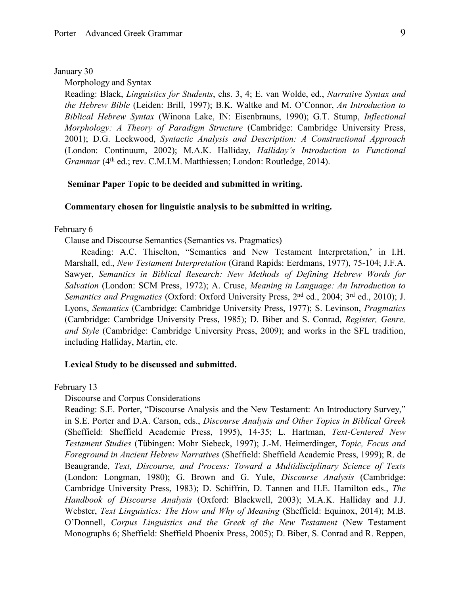### January 30

Morphology and Syntax

Reading: Black, *Linguistics for Students*, chs. 3, 4; E. van Wolde, ed., *Narrative Syntax and the Hebrew Bible* (Leiden: Brill, 1997); B.K. Waltke and M. O'Connor, *An Introduction to Biblical Hebrew Syntax* (Winona Lake, IN: Eisenbrauns, 1990); G.T. Stump, *Inflectional Morphology: A Theory of Paradigm Structure* (Cambridge: Cambridge University Press, 2001); D.G. Lockwood, *Syntactic Analysis and Description: A Constructional Approach* (London: Continuum, 2002); M.A.K. Halliday, *Halliday's Introduction to Functional*  Grammar (4<sup>th</sup> ed.; rev. C.M.I.M. Matthiessen; London: Routledge, 2014).

# **Seminar Paper Topic to be decided and submitted in writing.**

### **Commentary chosen for linguistic analysis to be submitted in writing.**

# February 6

Clause and Discourse Semantics (Semantics vs. Pragmatics)

Reading: A.C. Thiselton, "Semantics and New Testament Interpretation,' in I.H. Marshall, ed., *New Testament Interpretation* (Grand Rapids: Eerdmans, 1977), 75-104; J.F.A. Sawyer, *Semantics in Biblical Research: New Methods of Defining Hebrew Words for Salvation* (London: SCM Press, 1972); A. Cruse, *Meaning in Language: An Introduction to*  Semantics and Pragmatics (Oxford: Oxford University Press, 2<sup>nd</sup> ed., 2004; 3<sup>rd</sup> ed., 2010); J. Lyons, *Semantics* (Cambridge: Cambridge University Press, 1977); S. Levinson, *Pragmatics* (Cambridge: Cambridge University Press, 1985); D. Biber and S. Conrad, *Register, Genre, and Style* (Cambridge: Cambridge University Press, 2009); and works in the SFL tradition, including Halliday, Martin, etc.

# **Lexical Study to be discussed and submitted.**

February 13

### Discourse and Corpus Considerations

Reading: S.E. Porter, "Discourse Analysis and the New Testament: An Introductory Survey," in S.E. Porter and D.A. Carson, eds., *Discourse Analysis and Other Topics in Biblical Greek* (Sheffield: Sheffield Academic Press, 1995), 14-35; L. Hartman, *Text-Centered New Testament Studies* (Tübingen: Mohr Siebeck, 1997); J.-M. Heimerdinger, *Topic, Focus and Foreground in Ancient Hebrew Narratives* (Sheffield: Sheffield Academic Press, 1999); R. de Beaugrande, *Text, Discourse, and Process: Toward a Multidisciplinary Science of Texts* (London: Longman, 1980); G. Brown and G. Yule, *Discourse Analysis* (Cambridge: Cambridge University Press, 1983); D. Schiffrin, D. Tannen and H.E. Hamilton eds., *The Handbook of Discourse Analysis* (Oxford: Blackwell, 2003); M.A.K. Halliday and J.J. Webster, *Text Linguistics: The How and Why of Meaning* (Sheffield: Equinox, 2014); M.B. O'Donnell, *Corpus Linguistics and the Greek of the New Testament* (New Testament Monographs 6; Sheffield: Sheffield Phoenix Press, 2005); D. Biber, S. Conrad and R. Reppen,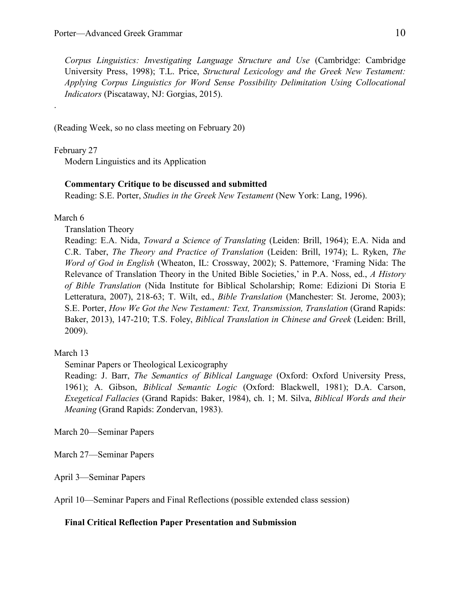*Corpus Linguistics: Investigating Language Structure and Use* (Cambridge: Cambridge University Press, 1998); T.L. Price, *Structural Lexicology and the Greek New Testament: Applying Corpus Linguistics for Word Sense Possibility Delimitation Using Collocational Indicators* (Piscataway, NJ: Gorgias, 2015).

(Reading Week, so no class meeting on February 20)

February 27

.

Modern Linguistics and its Application

# **Commentary Critique to be discussed and submitted**

Reading: S.E. Porter, *Studies in the Greek New Testament* (New York: Lang, 1996).

March 6

Translation Theory

Reading: E.A. Nida, *Toward a Science of Translating* (Leiden: Brill, 1964); E.A. Nida and C.R. Taber, *The Theory and Practice of Translation* (Leiden: Brill, 1974); L. Ryken, *The Word of God in English* (Wheaton, IL: Crossway, 2002); S. Pattemore, 'Framing Nida: The Relevance of Translation Theory in the United Bible Societies,' in P.A. Noss, ed., *A History of Bible Translation* (Nida Institute for Biblical Scholarship; Rome: Edizioni Di Storia E Letteratura, 2007), 218-63; T. Wilt, ed., *Bible Translation* (Manchester: St. Jerome, 2003); S.E. Porter, *How We Got the New Testament: Text, Transmission, Translation* (Grand Rapids: Baker, 2013), 147-210; T.S. Foley, *Biblical Translation in Chinese and Greek* (Leiden: Brill, 2009).

# March 13

Seminar Papers or Theological Lexicography

Reading: J. Barr, *The Semantics of Biblical Language* (Oxford: Oxford University Press, 1961); A. Gibson, *Biblical Semantic Logic* (Oxford: Blackwell, 1981); D.A. Carson, *Exegetical Fallacies* (Grand Rapids: Baker, 1984), ch. 1; M. Silva, *Biblical Words and their Meaning* (Grand Rapids: Zondervan, 1983).

March 20—Seminar Papers

March 27—Seminar Papers

April 3—Seminar Papers

April 10—Seminar Papers and Final Reflections (possible extended class session)

# **Final Critical Reflection Paper Presentation and Submission**